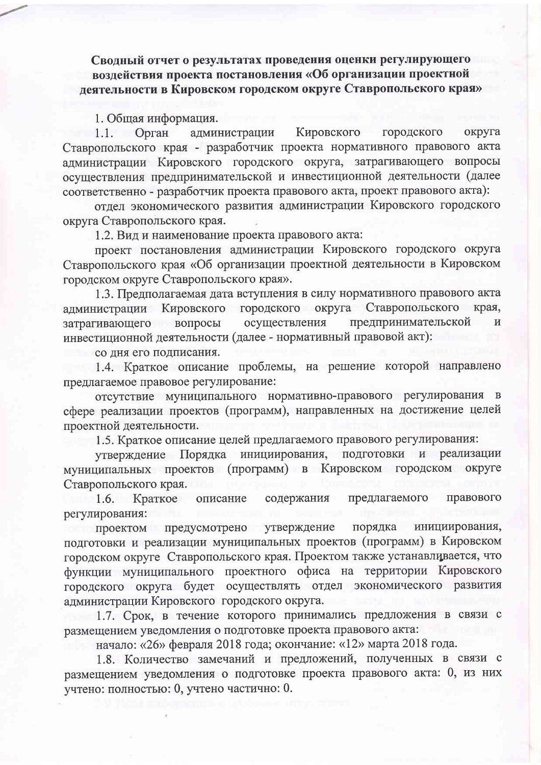Сводный отчет о результатах проведения оценки регулирующего воздействия проекта постановления «Об организации проектной деятельности в Кировском городском округе Ставропольского края»

1. Общая информация.

Орган администрации Кировского городского округа  $1.1.$ Ставропольского края - разработчик проекта нормативного правового акта администрации Кировского городского округа, затрагивающего вопросы осуществления предпринимательской и инвестиционной деятельности (далее соответственно - разработчик проекта правового акта, проект правового акта):

отдел экономического развития администрации Кировского городского округа Ставропольского края.

1.2. Вид и наименование проекта правового акта:

проект постановления администрации Кировского городского округа Ставропольского края «Об организации проектной деятельности в Кировском городском округе Ставропольского края».

1.3. Предполагаемая дата вступления в силу нормативного правового акта администрации Кировского городского округа Ставропольского края. затрагивающего вопросы осуществления предпринимательской И инвестиционной деятельности (далее - нормативный правовой акт):

со дня его подписания.

1.4. Краткое описание проблемы, на решение которой направлено предлагаемое правовое регулирование:

отсутствие муниципального нормативно-правового регулирования в сфере реализации проектов (программ), направленных на достижение целей проектной деятельности.

1.5. Краткое описание целей предлагаемого правового регулирования:

утверждение Порядка инициирования, подготовки и реализации муниципальных проектов (программ) в Кировском городском округе Ставропольского края.

описание содержания предлагаемого правового Краткое 1.6. регулирования:

проектом предусмотрено утверждение инициирования, порядка подготовки и реализации муниципальных проектов (программ) в Кировском городском округе Ставропольского края. Проектом также устанавливается, что функции муниципального проектного офиса на территории Кировского городского округа будет осуществлять отдел экономического развития администрации Кировского городского округа.

1.7. Срок, в течение которого принимались предложения в связи с размещением уведомления о подготовке проекта правового акта:

начало: «26» февраля 2018 года; окончание: «12» марта 2018 года.

1.8. Количество замечаний и предложений, полученных в связи с размещением уведомления о подготовке проекта правового акта: 0, из них учтено: полностью: 0, учтено частично: 0.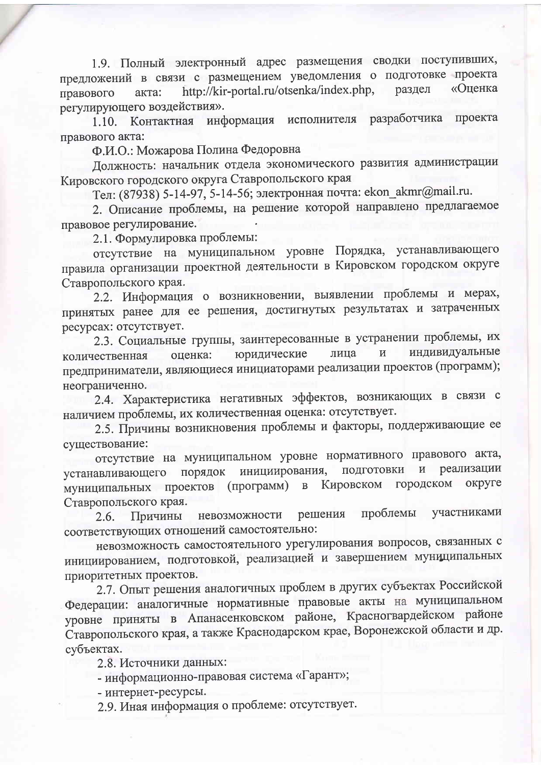1.9. Полный электронный адрес размещения сводки поступивших, предложений в связи с размещением уведомления о подготовке проекта http://kir-portal.ru/otsenka/index.php, «Оценка раздел акта: правового регулирующего воздействия».

разработчика проекта информация исполнителя Контактная  $1.10.$ правового акта:

Ф.И.О.: Можарова Полина Федоровна

Должность: начальник отдела экономического развития администрации Кировского городского округа Ставропольского края

Тел: (87938) 5-14-97, 5-14-56; электронная почта: ekon\_akmr@mail.ru.

2. Описание проблемы, на решение которой направлено предлагаемое правовое регулирование.

2.1. Формулировка проблемы:

отсутствие на муниципальном уровне Порядка, устанавливающего правила организации проектной деятельности в Кировском городском округе Ставропольского края.

2.2. Информация о возникновении, выявлении проблемы и мерах, принятых ранее для ее решения, достигнутых результатах и затраченных ресурсах: отсутствует.

2.3. Социальные группы, заинтересованные в устранении проблемы, их индивидуальные юридические лица  $\overline{\mathbf{M}}$ оценка: количественная предприниматели, являющиеся инициаторами реализации проектов (программ); неограниченно.

2.4. Характеристика негативных эффектов, возникающих в связи с наличием проблемы, их количественная оценка: отсутствует.

2.5. Причины возникновения проблемы и факторы, поддерживающие ее существование:

отсутствие на муниципальном уровне нормативного правового акта, реализации инициирования,  $\overline{\mathbf{M}}$ устанавливающего порядок подготовки муниципальных проектов (программ) в Кировском городском округе Ставропольского края.

проблемы участниками решения невозможности 2.6. Причины соответствующих отношений самостоятельно:

невозможность самостоятельного урегулирования вопросов, связанных с инициированием, подготовкой, реализацией и завершением муниципальных приоритетных проектов.

2.7. Опыт решения аналогичных проблем в других субъектах Российской Федерации: аналогичные нормативные правовые акты на муниципальном уровне приняты в Апанасенковском районе, Красногвардейском районе Ставропольского края, а также Краснодарском крае, Воронежской области и др. субъектах.

2.8. Источники данных:

- информационно-правовая система «Гарант»;

- интернет-ресурсы.

2.9. Иная информация о проблеме: отсутствует.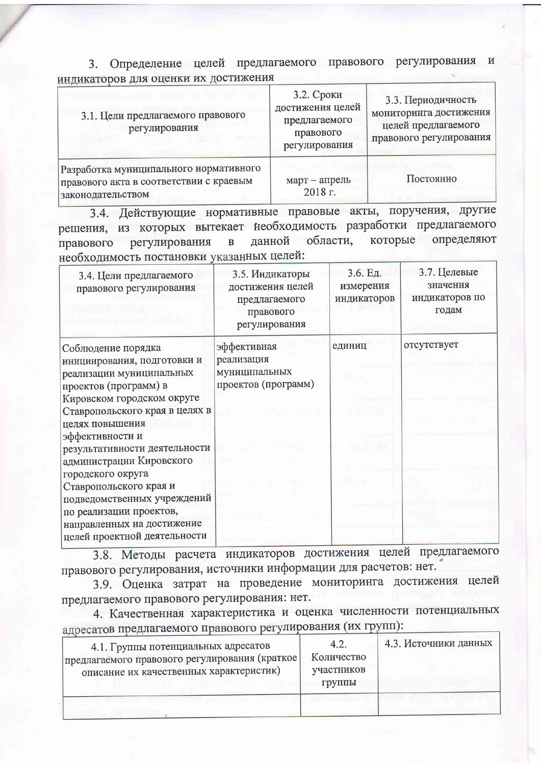3. Определение целей предлагаемого правового регулирования и индикаторов для оценки их достижения

| 3.1. Цели предлагаемого правового<br>регулирования                                                     | 3.2. Сроки<br>достижения целей<br>предлагаемого<br>правового<br>регулирования | 3.3. Периодичность<br>мониторинга достижения<br>целей предлагаемого<br>правового регулирования |
|--------------------------------------------------------------------------------------------------------|-------------------------------------------------------------------------------|------------------------------------------------------------------------------------------------|
| Разработка муниципального нормативного<br>правового акта в соответствии с краевым<br>законодательством | март - апрель<br>2018 г.                                                      | Постоянно                                                                                      |

3.4. Действующие нормативные правовые акты, поручения, другие решения, из которых вытекает необходимость разработки предлагаемого определяют области, которые в данной правового регулирования необходимость постановки указанных целей:

| 3.4. Цели предлагаемого<br>правового регулирования                                                                                                                                                                                                                                                                                                                                                                                               | 3.5. Индикаторы<br>достижения целей<br>предлагаемого<br>правового<br>регулирования | 3.6. Ед.<br>измерения<br>индикаторов | 3.7. Целевые<br>значения<br>индикаторов по<br>годам |
|--------------------------------------------------------------------------------------------------------------------------------------------------------------------------------------------------------------------------------------------------------------------------------------------------------------------------------------------------------------------------------------------------------------------------------------------------|------------------------------------------------------------------------------------|--------------------------------------|-----------------------------------------------------|
| Соблюдение порядка<br>инициирования, подготовки и<br>реализации муниципальных<br>проектов (программ) в<br>Кировском городском округе<br>Ставропольского края в целях в<br>целях повышения<br>эффективности и<br>результативности деятельности<br>администрации Кировского<br>городского округа<br>Ставропольского края и<br>подведомственных учреждений<br>по реализации проектов,<br>направленных на достижение<br>целей проектной деятельности | эффективная<br>реализация<br>муниципальных<br>проектов (программ)                  | единиц                               | отсутствует                                         |

3.8. Методы расчета индикаторов достижения целей предлагаемого правового регулирования, источники информации для расчетов: нет.

3.9. Оценка затрат на проведение мониторинга достижения целей предлагаемого правового регулирования: нет.

4. Качественная характеристика и оценка численности потенциальных адресатов предлагаемого правового регулирования (их групп):

| 4.1. Группы потенциальных адресатов<br>предлагаемого правового регулирования (краткое)<br>описание их качественных характеристик) | 4.2.<br>Количество<br>участников<br>группы | 4.3. Источники данных |
|-----------------------------------------------------------------------------------------------------------------------------------|--------------------------------------------|-----------------------|
|                                                                                                                                   |                                            |                       |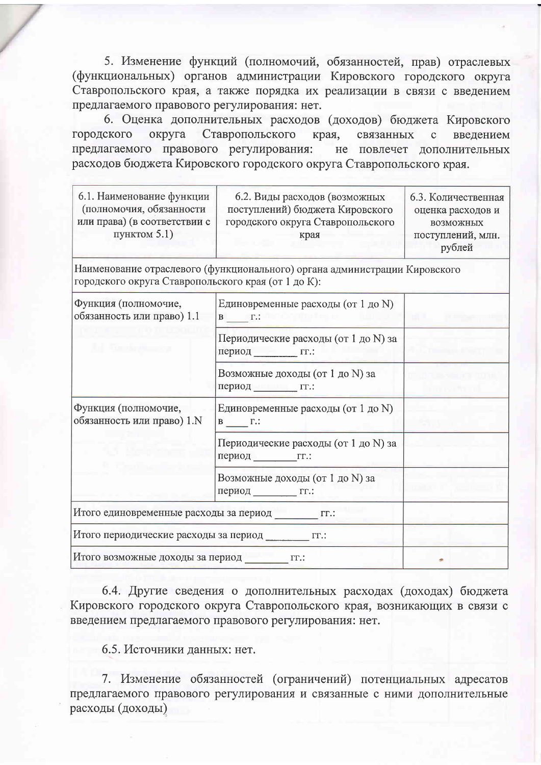5. Изменение функций (полномочий, обязанностей, прав) отраслевых (функциональных) органов администрации Кировского городского округа Ставропольского края, а также порядка их реализации в связи с введением предлагаемого правового регулирования: нет.

6. Оценка дополнительных расходов (доходов) бюджета Кировского городского округа Ставропольского края, связанных введением  $\mathbf{C}$ предлагаемого правового регулирования: не повлечет дополнительных расходов бюджета Кировского городского округа Ставропольского края.

| 6.1. Наименование функции<br>(полномочия, обязанности<br>или права) (в соответствии с<br>пунктом 5.1) | 6.2. Виды расходов (возможных<br>поступлений) бюджета Кировского<br>городского округа Ставропольского<br>края | 6.3. Количественная<br>оценка расходов и<br><b>ВОЗМОЖНЫХ</b><br>поступлений, млн.<br>рублей |
|-------------------------------------------------------------------------------------------------------|---------------------------------------------------------------------------------------------------------------|---------------------------------------------------------------------------------------------|
| городского округа Ставропольского края (от 1 до К):                                                   | Наименование отраслевого (функционального) органа администрации Кировского                                    |                                                                                             |
| Функция (полномочие,<br>обязанность или право) 1.1                                                    | Единовременные расходы (от 1 до N)<br>$\mathbf{B}$ $\Gamma$ .:                                                |                                                                                             |
| la tanàna ao                                                                                          | Периодические расходы (от 1 до N) за<br>период ГГ.:                                                           |                                                                                             |
|                                                                                                       | Возможные доходы (от 1 до N) за<br>период гг.:                                                                |                                                                                             |
| Функция (полномочие,<br>обязанность или право) 1.N                                                    | Единовременные расходы (от 1 до N)<br>$B \underline{\hspace{1cm}} \Gamma$ .:                                  |                                                                                             |
|                                                                                                       | Периодические расходы (от 1 до N) за<br>период гг.:                                                           |                                                                                             |
|                                                                                                       | Возможные доходы (от 1 до N) за<br>период гг.:                                                                |                                                                                             |
| Итого единовременные расходы за период ГГ.:                                                           |                                                                                                               |                                                                                             |
| Итого периодические расходы за период приста:                                                         |                                                                                                               |                                                                                             |
| Итого возможные доходы за период тг.:                                                                 |                                                                                                               |                                                                                             |

6.4. Другие сведения о дополнительных расходах (доходах) бюджета Кировского городского округа Ставропольского края, возникающих в связи с введением предлагаемого правового регулирования: нет.

6.5. Источники данных: нет.

7. Изменение обязанностей (ограничений) потенциальных адресатов предлагаемого правового регулирования и связанные с ними дополнительные расходы (доходы)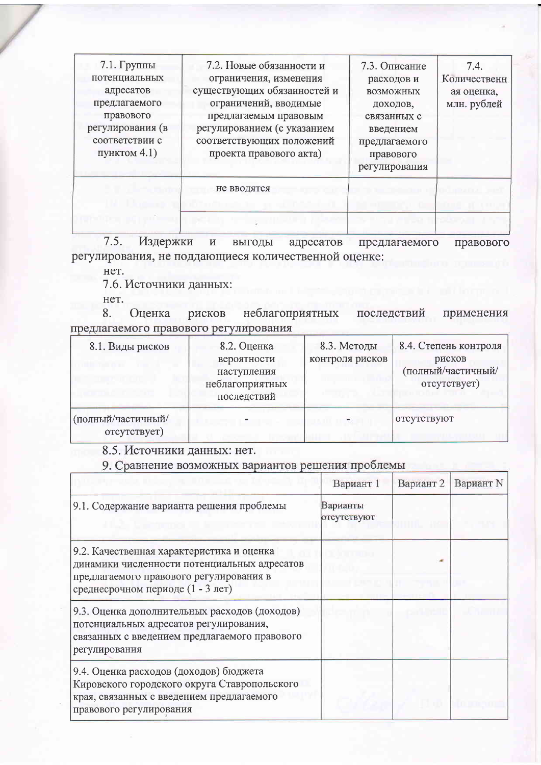| $7.1.$ Группы<br>потенциальных<br>адресатов<br>предлагаемого<br>правового<br>регулирования (в<br>соответствии с<br>пунктом 4.1) | 7.2. Новые обязанности и<br>ограничения, изменения<br>существующих обязанностей и<br>ограничений, вводимые<br>предлагаемым правовым<br>регулированием (с указанием<br>соответствующих положений<br>проекта правового акта) | 7.3. Описание<br>расходов и<br><b>ВОЗМОЖНЫХ</b><br>доходов,<br>связанных с<br>введением<br>предлагаемого<br>правового<br>регулирования | 7.4.<br>Количественн<br>ая оценка,<br>млн. рублей |
|---------------------------------------------------------------------------------------------------------------------------------|----------------------------------------------------------------------------------------------------------------------------------------------------------------------------------------------------------------------------|----------------------------------------------------------------------------------------------------------------------------------------|---------------------------------------------------|
|                                                                                                                                 | не вводятся                                                                                                                                                                                                                |                                                                                                                                        |                                                   |
|                                                                                                                                 |                                                                                                                                                                                                                            |                                                                                                                                        |                                                   |

Издержки и выгоды адресатов предлагаемого  $7.5.$ правового регулирования, не поддающиеся количественной оценке:

нет.

7.6. Источники данных:

Het.

Оценка неблагоприятных последствий применения рисков 8. предлагаемого правового регулирования

| 8.1. Виды рисков                   | 8.2. Оценка<br>вероятности<br>наступления<br>неблагоприятных<br>последствий | 8.3. Методы<br>контроля рисков | 8.4. Степень контроля<br>рисков<br>(полный/частичный/<br>отсутствует) |
|------------------------------------|-----------------------------------------------------------------------------|--------------------------------|-----------------------------------------------------------------------|
| (полный/частичный/<br>отсутствует) |                                                                             |                                | отсутствуют                                                           |

8.5. Источники данных: нет.

9. Сравнение возможных вариантов решения проблемы

|                                                                                                                                                                           | Вариант 1               | Вариант 2 | Вариант N |
|---------------------------------------------------------------------------------------------------------------------------------------------------------------------------|-------------------------|-----------|-----------|
| 9.1. Содержание варианта решения проблемы                                                                                                                                 | Варианты<br>отсутствуют |           |           |
| 9.2. Качественная характеристика и оценка<br>динамики численности потенциальных адресатов<br>предлагаемого правового регулирования в<br>среднесрочном периоде (1 - 3 лет) |                         |           |           |
| 9.3. Оценка дополнительных расходов (доходов)<br>потенциальных адресатов регулирования,<br>связанных с введением предлагаемого правового<br>регулирования                 |                         |           |           |
| 9.4. Оценка расходов (доходов) бюджета<br>Кировского городского округа Ставропольского<br>края, связанных с введением предлагаемого<br>правового регулирования            |                         |           |           |